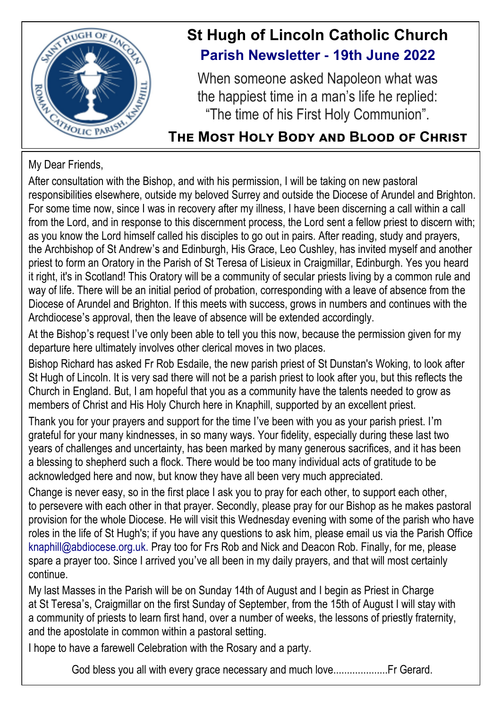

# **St Hugh of Lincoln Catholic Church Parish Newsletter - 19th June 2022**

When someone asked Napoleon what was the happiest time in a man's life he replied: "The time of his First Holy Communion".

# **The Most Holy Body and Blood of Christ**

# My Dear Friends,

After consultation with the Bishop, and with his permission, I will be taking on new pastoral responsibilities elsewhere, outside my beloved Surrey and outside the Diocese of Arundel and Brighton. For some time now, since I was in recovery after my illness, I have been discerning a call within a call from the Lord, and in response to this discernment process, the Lord sent a fellow priest to discern with; as you know the Lord himself called his disciples to go out in pairs. After reading, study and prayers, the Archbishop of St Andrew's and Edinburgh, His Grace, Leo Cushley, has invited myself and another priest to form an Oratory in the Parish of St Teresa of Lisieux in Craigmillar, Edinburgh. Yes you heard it right, it's in Scotland! This Oratory will be a community of secular priests living by a common rule and way of life. There will be an initial period of probation, corresponding with a leave of absence from the Diocese of Arundel and Brighton. If this meets with success, grows in numbers and continues with the Archdiocese's approval, then the leave of absence will be extended accordingly.

At the Bishop's request I've only been able to tell you this now, because the permission given for my departure here ultimately involves other clerical moves in two places.

Bishop Richard has asked Fr Rob Esdaile, the new parish priest of St Dunstan's Woking, to look after St Hugh of Lincoln. It is very sad there will not be a parish priest to look after you, but this reflects the Church in England. But, I am hopeful that you as a community have the talents needed to grow as members of Christ and His Holy Church here in Knaphill, supported by an excellent priest.

Thank you for your prayers and support for the time I've been with you as your parish priest. I'm grateful for your many kindnesses, in so many ways. Your fidelity, especially during these last two years of challenges and uncertainty, has been marked by many generous sacrifices, and it has been a blessing to shepherd such a flock. There would be too many individual acts of gratitude to be acknowledged here and now, but know they have all been very much appreciated.

Change is never easy, so in the first place I ask you to pray for each other, to support each other, to persevere with each other in that prayer. Secondly, please pray for our Bishop as he makes pastoral provision for the whole Diocese. He will visit this Wednesday evening with some of the parish who have roles in the life of St Hugh's; if you have any questions to ask him, please email us via the Parish Office knaphill@abdiocese.org.uk. Pray too for Frs Rob and Nick and Deacon Rob. Finally, for me, please spare a prayer too. Since I arrived you've all been in my daily prayers, and that will most certainly continue.

My last Masses in the Parish will be on Sunday 14th of August and I begin as Priest in Charge at St Teresa's, Craigmillar on the first Sunday of September, from the 15th of August I will stay with a community of priests to learn first hand, over a number of weeks, the lessons of priestly fraternity, and the apostolate in common within a pastoral setting.

I hope to have a farewell Celebration with the Rosary and a party.

God bless you all with every grace necessary and much love....................Fr Gerard.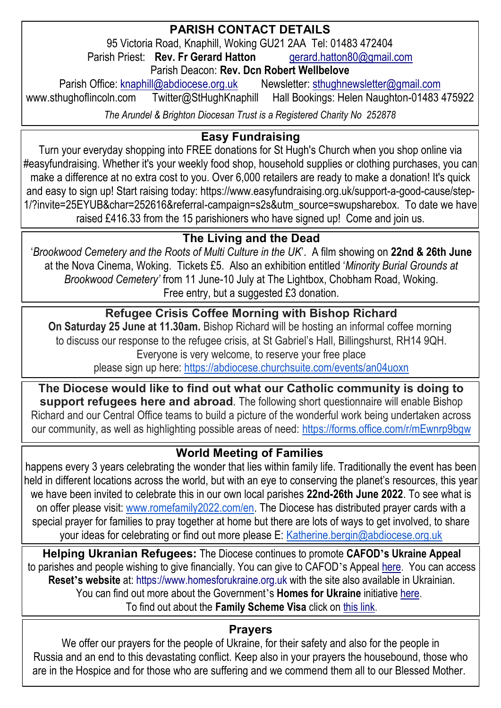### **PARISH CONTACT DETAILS**

95 Victoria Road, Knaphill, Woking GU21 2AA Tel: 01483 472404<br>sh Priest: **Rev. Fr Gerard Hatton** qerard.hatton80@gmail.com

Parish Priest: **Rev. Fr Gerard Hatton** 

Parish Deacon: **Rev. Dcn Robert Wellbelove**

Parish Office: [knaphill@abdiocese.org.uk](mailto:knaphill@abdiocese.org.uk) Newsletter: [sthughnewsletter@gmail.com](mailto:sthughnewsletter@gmail.com)<br>www.sthughoflincoln.com Twitter@StHughKnaphill Hall Bookings: Helen Naughton-01483 Twitter@StHughKnaphill Hall Bookings: Helen Naughton-01483 475922

*The Arundel & Brighton Diocesan Trust is a Registered Charity No 252878*

# **Easy Fundraising**

Turn your everyday shopping into FREE donations for St Hugh's Church when you shop online via #easyfundraising. Whether it's your weekly food shop, household supplies or clothing purchases, you can make a difference at no extra cost to you. Over 6,000 retailers are ready to make a donation! It's quick and easy to sign up! Start raising today: [https://www.easyfundraising.org.uk/support-a-good-cause/step-](https://www.easyfundraising.org.uk/support-a-good-cause/step-1/?invite=25EYUB&char=252616&referral-campaign=s2s&utm_source=swupsharebox)[1/?invite=25EYUB&char=252616&referral-campaign=s2s&utm\\_source=swupsharebox.](https://www.easyfundraising.org.uk/support-a-good-cause/step-1/?invite=25EYUB&char=252616&referral-campaign=s2s&utm_source=swupsharebox) To date we have raised £416.33 from the 15 parishioners who have signed up! Come and join us.

# **The Living and the Dead**

'*Brookwood Cemetery and the Roots of Multi Culture in the UK*'. A film showing on **22nd & 26th June** at the Nova Cinema, Woking. Tickets £5. Also an exhibition entitled '*Minority Burial Grounds at Brookwood Cemetery'* from 11 June-10 July at The Lightbox, Chobham Road, Woking. Free entry, but a suggested £3 donation.

#### **Refugee Crisis Coffee Morning with Bishop Richard**

**On Saturday 25 June at 11.30am.** Bishop Richard will be hosting an informal coffee morning to discuss our response to the refugee crisis, at St Gabriel's Hall, Billingshurst, RH14 9QH. Everyone is very welcome, to reserve your free place

please sign up here: <https://abdiocese.churchsuite.com/events/an04uoxn>

**The Diocese would like to find out what our Catholic community is doing to support refugees here and abroad**. The following short questionnaire will enable Bishop Richard and our Central Office teams to build a picture of the wonderful work being undertaken across our community, as well as highlighting possible areas of need: <https://forms.office.com/r/mEwnrp9bgw>

#### **World Meeting of Families**

happens every 3 years celebrating the wonder that lies within family life. Traditionally the event has been held in different locations across the world, but with an eye to conserving the planet's resources, this year we have been invited to celebrate this in our own local parishes **22nd-26th June 2022**. To see what is on offer please visit: [www.romefamily2022.com/en.](http://www.romefamily2022.com/en) The Diocese has distributed prayer cards with a special prayer for families to pray together at home but there are lots of ways to get involved, to share your ideas for celebrating or find out more please E: [Katherine.bergin@abdiocese.org.uk](mailto:Katherine.bergin@abdiocese.org.uk)

**Helping Ukranian Refugees:** The Diocese continues to promote **CAFOD's Ukraine Appeal** to parishes and people wishing to give financially. You can give to CAFOD's Appeal [here.](https://cafod.org.uk/Give) You can access **Reset's website** at: [https://www.homesforukraine.org.uk](https://www.homesforukraine.org.uk/) with the site also available in Ukrainian. You can find out more about the Government's **Homes for Ukraine** initiative [here.](https://homesforukraine.campaign.gov.uk/)  To find out about the **Family Scheme Visa** click on [this link.](https://www.gov.uk/guidance/apply-for-a-ukraine-family-scheme-visa)

#### **Prayers**

We offer our prayers for the people of Ukraine, for their safety and also for the people in Russia and an end to this devastating conflict. Keep also in your prayers the housebound, those who are in the Hospice and for those who are suffering and we commend them all to our Blessed Mother.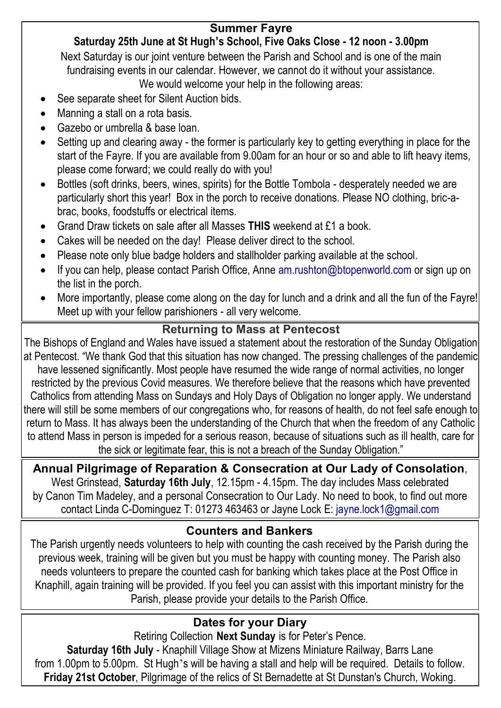#### **Summer Fayre**

# **Saturday 25th June at St Hugh's School, Five Oaks Close - 12 noon - 3.00pm**

Next Saturday is our joint venture between the Parish and School and is one of the main fundraising events in our calendar. However, we cannot do it without your assistance.

We would welcome your help in the following areas:

- See separate sheet for Silent Auction bids.
- Manning a stall on a rota basis.
- Gazebo or umbrella & base loan.
- Setting up and clearing away the former is particularly key to getting everything in place for the start of the Fayre. If you are available from 9.00am for an hour or so and able to lift heavy items, please come forward; we could really do with you!
- Bottles (soft drinks, beers, wines, spirits) for the Bottle Tombola desperately needed we are particularly short this year! Box in the porch to receive donations. Please NO clothing, bric-abrac, books, foodstuffs or electrical items.
- Grand Draw tickets on sale after all Masses **THIS** weekend at £1 a book.
- Cakes will be needed on the day! Please deliver direct to the school.
- Please note only blue badge holders and stallholder parking available at the school.
- If you can help, please contact Parish Office, Anne am.rushton@btopenworld.com or sign up on the list in the porch.
- More importantly, please come along on the day for lunch and a drink and all the fun of the Fayre! Meet up with your fellow parishioners - all very welcome.

# **Returning to Mass at Pentecost**

The Bishops of England and Wales have issued a statement about the restoration of the Sunday Obligation at Pentecost. "We thank God that this situation has now changed. The pressing challenges of the pandemic have lessened significantly. Most people have resumed the wide range of normal activities, no longer restricted by the previous Covid measures. We therefore believe that the reasons which have prevented Catholics from attending Mass on Sundays and Holy Days of Obligation no longer apply. We understand there will still be some members of our congregations who, for reasons of health, do not feel safe enough to return to Mass. It has always been the understanding of the Church that when the freedom of any Catholic to attend Mass in person is impeded for a serious reason, because of situations such as ill health, care for the sick or legitimate fear, this is not a breach of the Sunday Obligation."

**Annual Pilgrimage of Reparation & Consecration at Our Lady of Consolation**, West Grinstead, **Saturday 16th July**, 12.15pm - 4.15pm. The day includes Mass celebrated by Canon Tim Madeley, and a personal Consecration to Our Lady. No need to book, to find out more contact Linda C-Dominguez T: 01273 463463 or Jayne Lock E: [jayne.lock1@gmail.com](mailto:jayne.lock1@gmail.com)

### **Counters and Bankers**

The Parish urgently needs volunteers to help with counting the cash received by the Parish during the previous week, training will be given but you must be happy with counting money. The Parish also needs volunteers to prepare the counted cash for banking which takes place at the Post Office in Knaphill, again training will be provided. If you feel you can assist with this important ministry for the Parish, please provide your details to the Parish Office.

# **Dates for your Diary**

Retiring Collection **Next Sunday** is for Peter's Pence.

**Saturday 16th July** - Knaphill Village Show at Mizens Miniature Railway, Barrs Lane from 1.00pm to 5.00pm. St Hugh's will be having a stall and help will be required. Details to follow. **Friday 21st October**, Pilgrimage of the relics of St Bernadette at St Dunstan's Church, Woking.